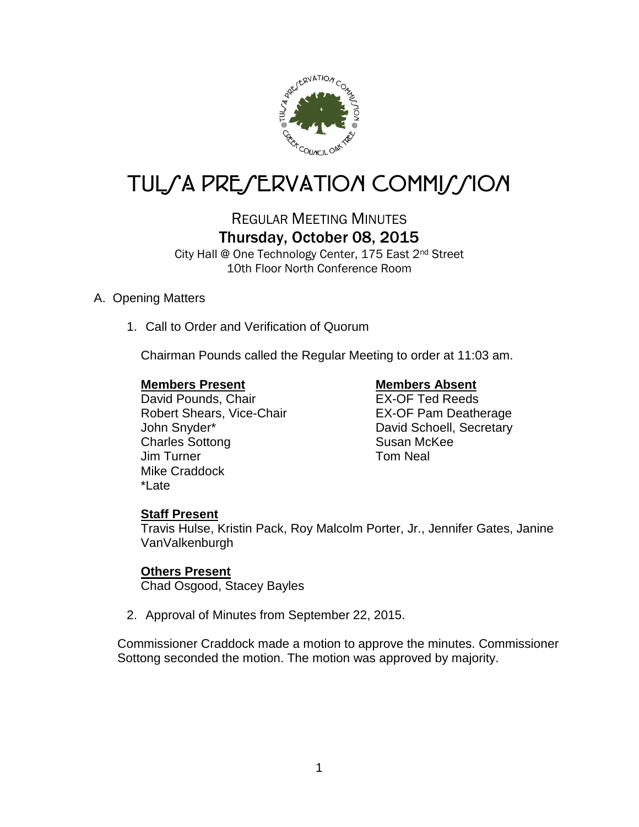

# TUL/A PRE/ERVATION COMMI*J*/ION

# REGULAR MEETING MINUTES Thursday, October 08, 2015

City Hall @ One Technology Center, 175 East 2nd Street 10th Floor North Conference Room

# A. Opening Matters

1. Call to Order and Verification of Quorum

Chairman Pounds called the Regular Meeting to order at 11:03 am.

# **Members Present Members Absent**

David Pounds, Chair **EX-OF Ted Reeds** Robert Shears, Vice-Chair **EX-OF Pam Deatherage** John Snyder\* The Contract of Cavid Schoell, Secretary Charles Sottong Susan McKee Jim Turner **Tom Neal** Mike Craddock \*Late

# **Staff Present**

Travis Hulse, Kristin Pack, Roy Malcolm Porter, Jr., Jennifer Gates, Janine VanValkenburgh

# **Others Present**

Chad Osgood, Stacey Bayles

2. Approval of Minutes from September 22, 2015.

Commissioner Craddock made a motion to approve the minutes. Commissioner Sottong seconded the motion. The motion was approved by majority.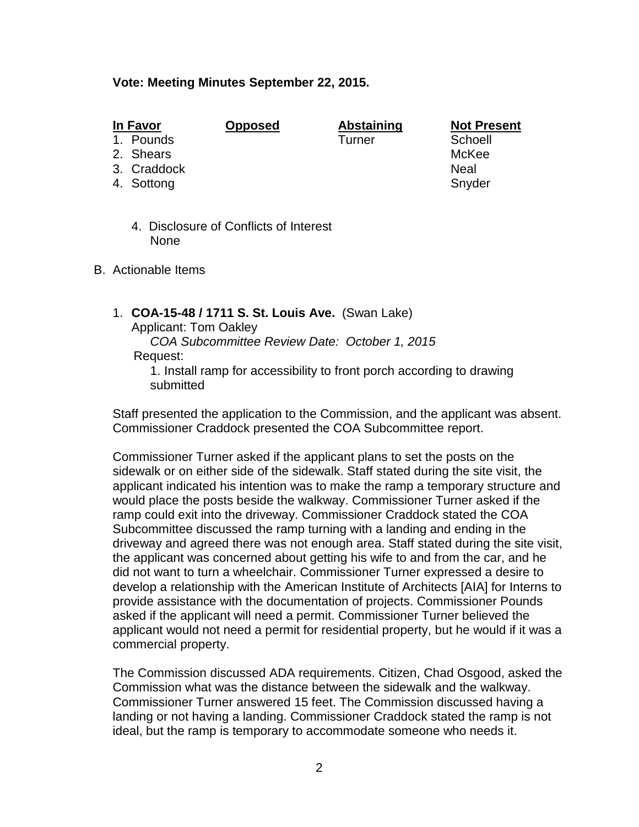## **Vote: Meeting Minutes September 22, 2015.**

| I<br>H<br>n | wc<br>١<br>. . |  |
|-------------|----------------|--|
|             |                |  |

1. Pounds

- 2. Shears McKee
- 3. Craddock Neal
- 4. Sottong Snyder Snyder Snyder

**<u>In Abstaining</u> Mot Present<br>
Turner and Schoell</u>** 

- 4. Disclosure of Conflicts of Interest None
- B. Actionable Items
	- 1. **COA-15-48 / 1711 S. St. Louis Ave.** (Swan Lake)

Applicant: Tom Oakley

 *COA Subcommittee Review Date: October 1, 2015* Request:

1. Install ramp for accessibility to front porch according to drawing submitted

Staff presented the application to the Commission, and the applicant was absent. Commissioner Craddock presented the COA Subcommittee report.

Commissioner Turner asked if the applicant plans to set the posts on the sidewalk or on either side of the sidewalk. Staff stated during the site visit, the applicant indicated his intention was to make the ramp a temporary structure and would place the posts beside the walkway. Commissioner Turner asked if the ramp could exit into the driveway. Commissioner Craddock stated the COA Subcommittee discussed the ramp turning with a landing and ending in the driveway and agreed there was not enough area. Staff stated during the site visit, the applicant was concerned about getting his wife to and from the car, and he did not want to turn a wheelchair. Commissioner Turner expressed a desire to develop a relationship with the American Institute of Architects [AIA] for Interns to provide assistance with the documentation of projects. Commissioner Pounds asked if the applicant will need a permit. Commissioner Turner believed the applicant would not need a permit for residential property, but he would if it was a commercial property.

The Commission discussed ADA requirements. Citizen, Chad Osgood, asked the Commission what was the distance between the sidewalk and the walkway. Commissioner Turner answered 15 feet. The Commission discussed having a landing or not having a landing. Commissioner Craddock stated the ramp is not ideal, but the ramp is temporary to accommodate someone who needs it.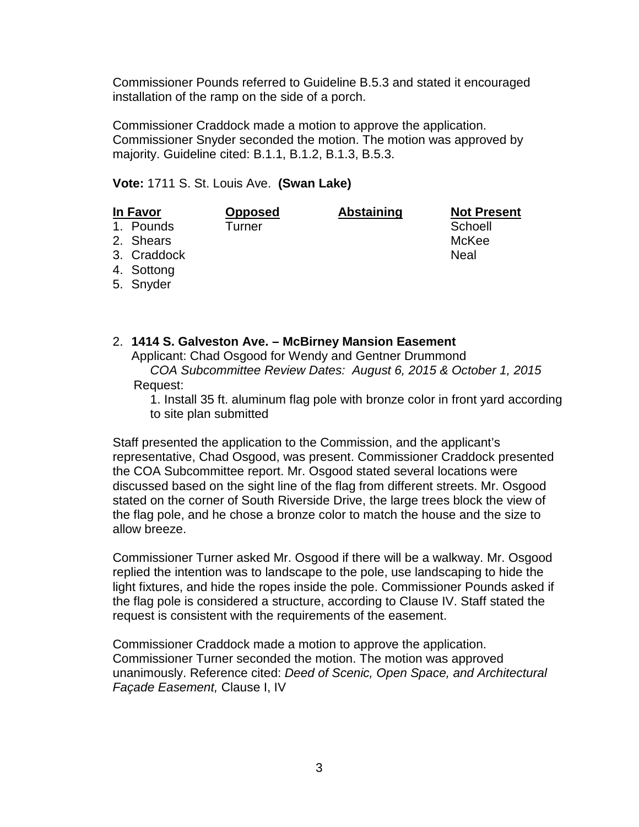Commissioner Pounds referred to Guideline B.5.3 and stated it encouraged installation of the ramp on the side of a porch.

Commissioner Craddock made a motion to approve the application. Commissioner Snyder seconded the motion. The motion was approved by majority. Guideline cited: B.1.1, B.1.2, B.1.3, B.5.3.

# **Vote:** 1711 S. St. Louis Ave. **(Swan Lake)**

| <b>In Favor</b> |             | <b>Opposed</b> | <b>Abstaining</b> | <b>Not Present</b> |
|-----------------|-------------|----------------|-------------------|--------------------|
|                 | 1. Pounds   | Turner         |                   | Schoell            |
|                 | 2. Shears   |                |                   | McKee              |
|                 | 3. Craddock |                |                   | Neal               |
|                 | 4. Sottong  |                |                   |                    |
|                 | 5. Snyder   |                |                   |                    |

2. **1414 S. Galveston Ave. – McBirney Mansion Easement** Applicant: Chad Osgood for Wendy and Gentner Drummond *COA Subcommittee Review Dates: August 6, 2015 & October 1, 2015* Request:

1. Install 35 ft. aluminum flag pole with bronze color in front yard according to site plan submitted

Staff presented the application to the Commission, and the applicant's representative, Chad Osgood, was present. Commissioner Craddock presented the COA Subcommittee report. Mr. Osgood stated several locations were discussed based on the sight line of the flag from different streets. Mr. Osgood stated on the corner of South Riverside Drive, the large trees block the view of the flag pole, and he chose a bronze color to match the house and the size to allow breeze.

Commissioner Turner asked Mr. Osgood if there will be a walkway. Mr. Osgood replied the intention was to landscape to the pole, use landscaping to hide the light fixtures, and hide the ropes inside the pole. Commissioner Pounds asked if the flag pole is considered a structure, according to Clause IV. Staff stated the request is consistent with the requirements of the easement.

Commissioner Craddock made a motion to approve the application. Commissioner Turner seconded the motion. The motion was approved unanimously. Reference cited: *Deed of Scenic, Open Space, and Architectural Façade Easement,* Clause I, IV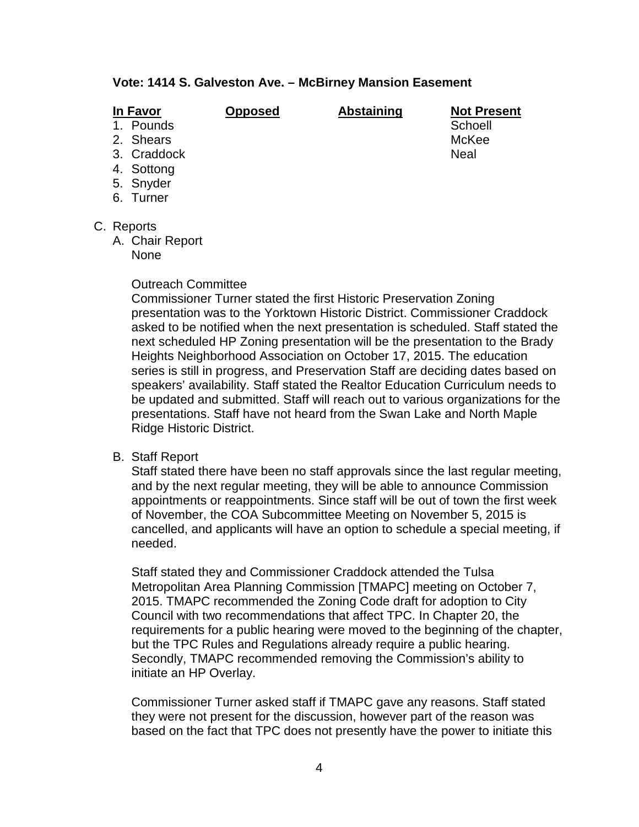# **Vote: 1414 S. Galveston Ave. – McBirney Mansion Easement**

| In Favor    | <b>Opposed</b> | <b>Abstaining</b> | <b>Not Present</b> |
|-------------|----------------|-------------------|--------------------|
| 1. Pounds   |                |                   | Schoell            |
| 2. Shears   |                |                   | McKee              |
| 3. Craddock |                |                   | <b>Neal</b>        |
| 4. Sottong  |                |                   |                    |
| 5. Snyder   |                |                   |                    |
| 6. Turner   |                |                   |                    |
|             |                |                   |                    |
| C. Reports  |                |                   |                    |

- A. Chair Report
	- None

### Outreach Committee

Commissioner Turner stated the first Historic Preservation Zoning presentation was to the Yorktown Historic District. Commissioner Craddock asked to be notified when the next presentation is scheduled. Staff stated the next scheduled HP Zoning presentation will be the presentation to the Brady Heights Neighborhood Association on October 17, 2015. The education series is still in progress, and Preservation Staff are deciding dates based on speakers' availability. Staff stated the Realtor Education Curriculum needs to be updated and submitted. Staff will reach out to various organizations for the presentations. Staff have not heard from the Swan Lake and North Maple Ridge Historic District.

B. Staff Report

Staff stated there have been no staff approvals since the last regular meeting, and by the next regular meeting, they will be able to announce Commission appointments or reappointments. Since staff will be out of town the first week of November, the COA Subcommittee Meeting on November 5, 2015 is cancelled, and applicants will have an option to schedule a special meeting, if needed.

Staff stated they and Commissioner Craddock attended the Tulsa Metropolitan Area Planning Commission [TMAPC] meeting on October 7, 2015. TMAPC recommended the Zoning Code draft for adoption to City Council with two recommendations that affect TPC. In Chapter 20, the requirements for a public hearing were moved to the beginning of the chapter, but the TPC Rules and Regulations already require a public hearing. Secondly, TMAPC recommended removing the Commission's ability to initiate an HP Overlay.

Commissioner Turner asked staff if TMAPC gave any reasons. Staff stated they were not present for the discussion, however part of the reason was based on the fact that TPC does not presently have the power to initiate this